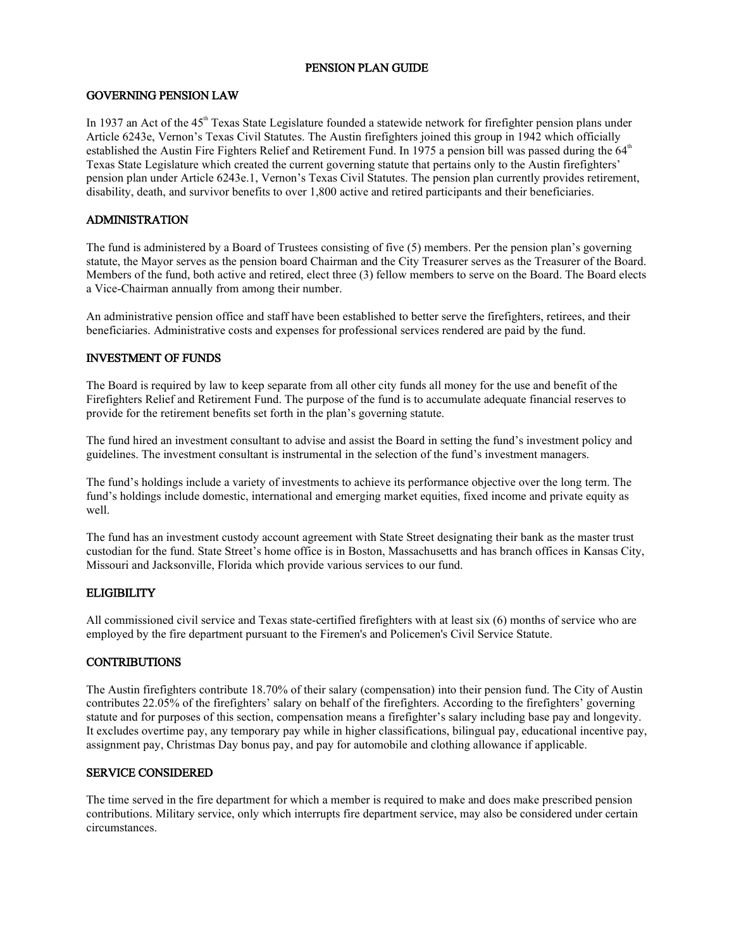## PENSION PLAN GUIDE

#### GOVERNING PENSION LAW

In 1937 an Act of the  $45<sup>th</sup>$  Texas State Legislature founded a statewide network for firefighter pension plans under Article 6243e, Vernon's Texas Civil Statutes. The Austin firefighters joined this group in 1942 which officially established the Austin Fire Fighters Relief and Retirement Fund. In 1975 a pension bill was passed during the  $64<sup>th</sup>$ Texas State Legislature which created the current governing statute that pertains only to the Austin firefighters' pension plan under Article 6243e.1, Vernon's Texas Civil Statutes. The pension plan currently provides retirement, disability, death, and survivor benefits to over 1,800 active and retired participants and their beneficiaries.

## ADMINISTRATION

The fund is administered by a Board of Trustees consisting of five (5) members. Per the pension plan's governing statute, the Mayor serves as the pension board Chairman and the City Treasurer serves as the Treasurer of the Board. Members of the fund, both active and retired, elect three (3) fellow members to serve on the Board. The Board elects a Vice-Chairman annually from among their number.

An administrative pension office and staff have been established to better serve the firefighters, retirees, and their beneficiaries. Administrative costs and expenses for professional services rendered are paid by the fund.

#### INVESTMENT OF FUNDS

The Board is required by law to keep separate from all other city funds all money for the use and benefit of the Firefighters Relief and Retirement Fund. The purpose of the fund is to accumulate adequate financial reserves to provide for the retirement benefits set forth in the plan's governing statute.

The fund hired an investment consultant to advise and assist the Board in setting the fund's investment policy and guidelines. The investment consultant is instrumental in the selection of the fund's investment managers.

The fund's holdings include a variety of investments to achieve its performance objective over the long term. The fund's holdings include domestic, international and emerging market equities, fixed income and private equity as well.

The fund has an investment custody account agreement with State Street designating their bank as the master trust custodian for the fund. State Street's home office is in Boston, Massachusetts and has branch offices in Kansas City, Missouri and Jacksonville, Florida which provide various services to our fund.

#### **ELIGIBILITY**

All commissioned civil service and Texas state-certified firefighters with at least six (6) months of service who are employed by the fire department pursuant to the Firemen's and Policemen's Civil Service Statute.

## **CONTRIBUTIONS**

The Austin firefighters contribute 18.70% of their salary (compensation) into their pension fund. The City of Austin contributes 22.05% of the firefighters' salary on behalf of the firefighters. According to the firefighters' governing statute and for purposes of this section, compensation means a firefighter's salary including base pay and longevity. It excludes overtime pay, any temporary pay while in higher classifications, bilingual pay, educational incentive pay, assignment pay, Christmas Day bonus pay, and pay for automobile and clothing allowance if applicable.

#### SERVICE CONSIDERED

The time served in the fire department for which a member is required to make and does make prescribed pension contributions. Military service, only which interrupts fire department service, may also be considered under certain circumstances.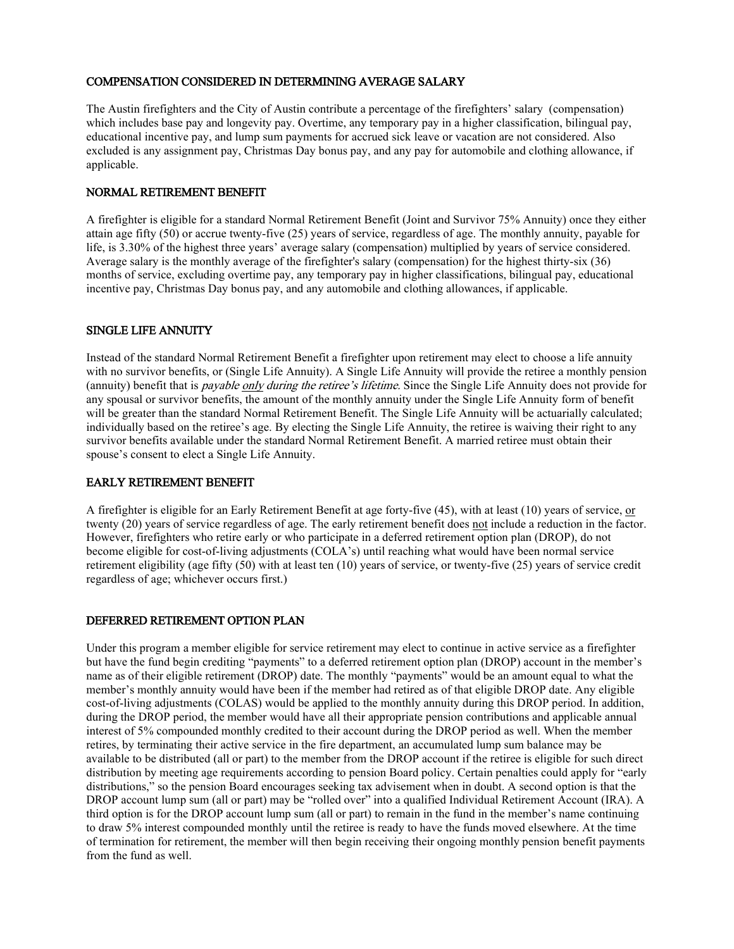# COMPENSATION CONSIDERED IN DETERMINING AVERAGE SALARY

The Austin firefighters and the City of Austin contribute a percentage of the firefighters' salary (compensation) which includes base pay and longevity pay. Overtime, any temporary pay in a higher classification, bilingual pay, educational incentive pay, and lump sum payments for accrued sick leave or vacation are not considered. Also excluded is any assignment pay, Christmas Day bonus pay, and any pay for automobile and clothing allowance, if applicable.

#### NORMAL RETIREMENT BENEFIT

A firefighter is eligible for a standard Normal Retirement Benefit (Joint and Survivor 75% Annuity) once they either attain age fifty (50) or accrue twenty-five (25) years of service, regardless of age. The monthly annuity, payable for life, is 3.30% of the highest three years' average salary (compensation) multiplied by years of service considered. Average salary is the monthly average of the firefighter's salary (compensation) for the highest thirty-six (36) months of service, excluding overtime pay, any temporary pay in higher classifications, bilingual pay, educational incentive pay, Christmas Day bonus pay, and any automobile and clothing allowances, if applicable.

#### SINGLE LIFE ANNUITY

Instead of the standard Normal Retirement Benefit a firefighter upon retirement may elect to choose a life annuity with no survivor benefits, or (Single Life Annuity). A Single Life Annuity will provide the retiree a monthly pension (annuity) benefit that is *payable only during the retiree's lifetime*. Since the Single Life Annuity does not provide for any spousal or survivor benefits, the amount of the monthly annuity under the Single Life Annuity form of benefit will be greater than the standard Normal Retirement Benefit. The Single Life Annuity will be actuarially calculated; individually based on the retiree's age. By electing the Single Life Annuity, the retiree is waiving their right to any survivor benefits available under the standard Normal Retirement Benefit. A married retiree must obtain their spouse's consent to elect a Single Life Annuity.

#### EARLY RETIREMENT BENEFIT

A firefighter is eligible for an Early Retirement Benefit at age forty-five (45), with at least (10) years of service, or twenty (20) years of service regardless of age. The early retirement benefit does not include a reduction in the factor. However, firefighters who retire early or who participate in a deferred retirement option plan (DROP), do not become eligible for cost-of-living adjustments (COLA's) until reaching what would have been normal service retirement eligibility (age fifty (50) with at least ten (10) years of service, or twenty-five (25) years of service credit regardless of age; whichever occurs first.)

## DEFERRED RETIREMENT OPTION PLAN

Under this program a member eligible for service retirement may elect to continue in active service as a firefighter but have the fund begin crediting "payments" to a deferred retirement option plan (DROP) account in the member's name as of their eligible retirement (DROP) date. The monthly "payments" would be an amount equal to what the member's monthly annuity would have been if the member had retired as of that eligible DROP date. Any eligible cost-of-living adjustments (COLAS) would be applied to the monthly annuity during this DROP period. In addition, during the DROP period, the member would have all their appropriate pension contributions and applicable annual interest of 5% compounded monthly credited to their account during the DROP period as well. When the member retires, by terminating their active service in the fire department, an accumulated lump sum balance may be available to be distributed (all or part) to the member from the DROP account if the retiree is eligible for such direct distribution by meeting age requirements according to pension Board policy. Certain penalties could apply for "early distributions," so the pension Board encourages seeking tax advisement when in doubt. A second option is that the DROP account lump sum (all or part) may be "rolled over" into a qualified Individual Retirement Account (IRA). A third option is for the DROP account lump sum (all or part) to remain in the fund in the member's name continuing to draw 5% interest compounded monthly until the retiree is ready to have the funds moved elsewhere. At the time of termination for retirement, the member will then begin receiving their ongoing monthly pension benefit payments from the fund as well.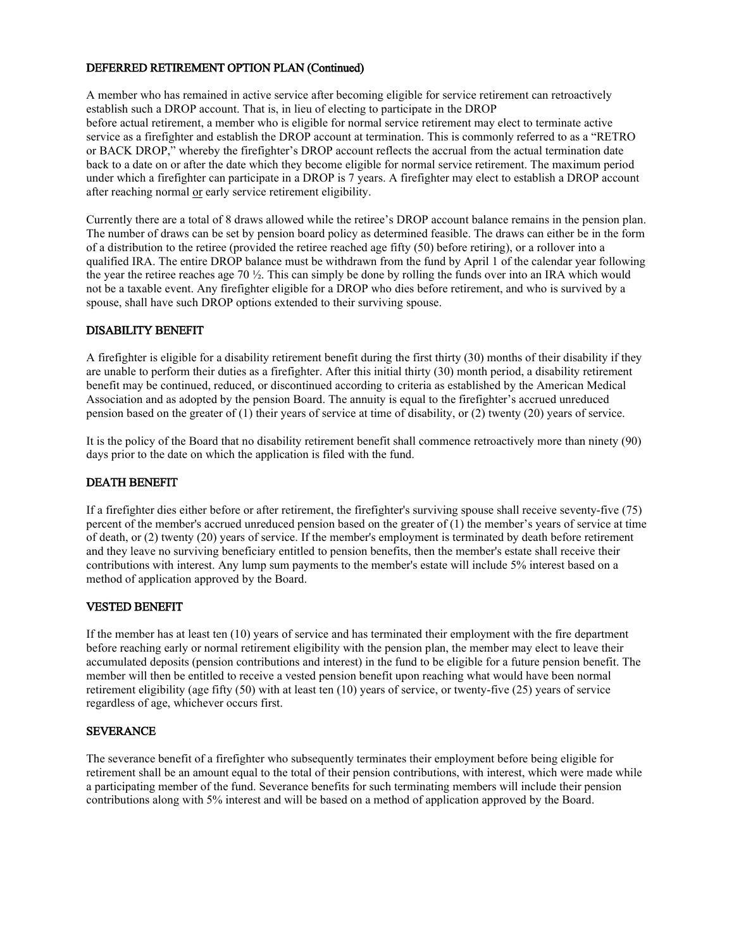## DEFERRED RETIREMENT OPTION PLAN (Continued)

A member who has remained in active service after becoming eligible for service retirement can retroactively establish such a DROP account. That is, in lieu of electing to participate in the DROP before actual retirement, a member who is eligible for normal service retirement may elect to terminate active service as a firefighter and establish the DROP account at termination. This is commonly referred to as a "RETRO or BACK DROP," whereby the firefighter's DROP account reflects the accrual from the actual termination date back to a date on or after the date which they become eligible for normal service retirement. The maximum period under which a firefighter can participate in a DROP is 7 years. A firefighter may elect to establish a DROP account after reaching normal or early service retirement eligibility.

Currently there are a total of 8 draws allowed while the retiree's DROP account balance remains in the pension plan. The number of draws can be set by pension board policy as determined feasible. The draws can either be in the form of a distribution to the retiree (provided the retiree reached age fifty (50) before retiring), or a rollover into a qualified IRA. The entire DROP balance must be withdrawn from the fund by April 1 of the calendar year following the year the retiree reaches age 70 ½. This can simply be done by rolling the funds over into an IRA which would not be a taxable event. Any firefighter eligible for a DROP who dies before retirement, and who is survived by a spouse, shall have such DROP options extended to their surviving spouse.

# DISABILITY BENEFIT

A firefighter is eligible for a disability retirement benefit during the first thirty (30) months of their disability if they are unable to perform their duties as a firefighter. After this initial thirty (30) month period, a disability retirement benefit may be continued, reduced, or discontinued according to criteria as established by the American Medical Association and as adopted by the pension Board. The annuity is equal to the firefighter's accrued unreduced pension based on the greater of (1) their years of service at time of disability, or (2) twenty (20) years of service.

It is the policy of the Board that no disability retirement benefit shall commence retroactively more than ninety (90) days prior to the date on which the application is filed with the fund.

## DEATH BENEFIT

If a firefighter dies either before or after retirement, the firefighter's surviving spouse shall receive seventy-five (75) percent of the member's accrued unreduced pension based on the greater of (1) the member's years of service at time of death, or (2) twenty (20) years of service. If the member's employment is terminated by death before retirement and they leave no surviving beneficiary entitled to pension benefits, then the member's estate shall receive their contributions with interest. Any lump sum payments to the member's estate will include 5% interest based on a method of application approved by the Board.

## VESTED BENEFIT

If the member has at least ten (10) years of service and has terminated their employment with the fire department before reaching early or normal retirement eligibility with the pension plan, the member may elect to leave their accumulated deposits (pension contributions and interest) in the fund to be eligible for a future pension benefit. The member will then be entitled to receive a vested pension benefit upon reaching what would have been normal retirement eligibility (age fifty (50) with at least ten (10) years of service, or twenty-five (25) years of service regardless of age, whichever occurs first.

## **SEVERANCE**

The severance benefit of a firefighter who subsequently terminates their employment before being eligible for retirement shall be an amount equal to the total of their pension contributions, with interest, which were made while a participating member of the fund. Severance benefits for such terminating members will include their pension contributions along with 5% interest and will be based on a method of application approved by the Board.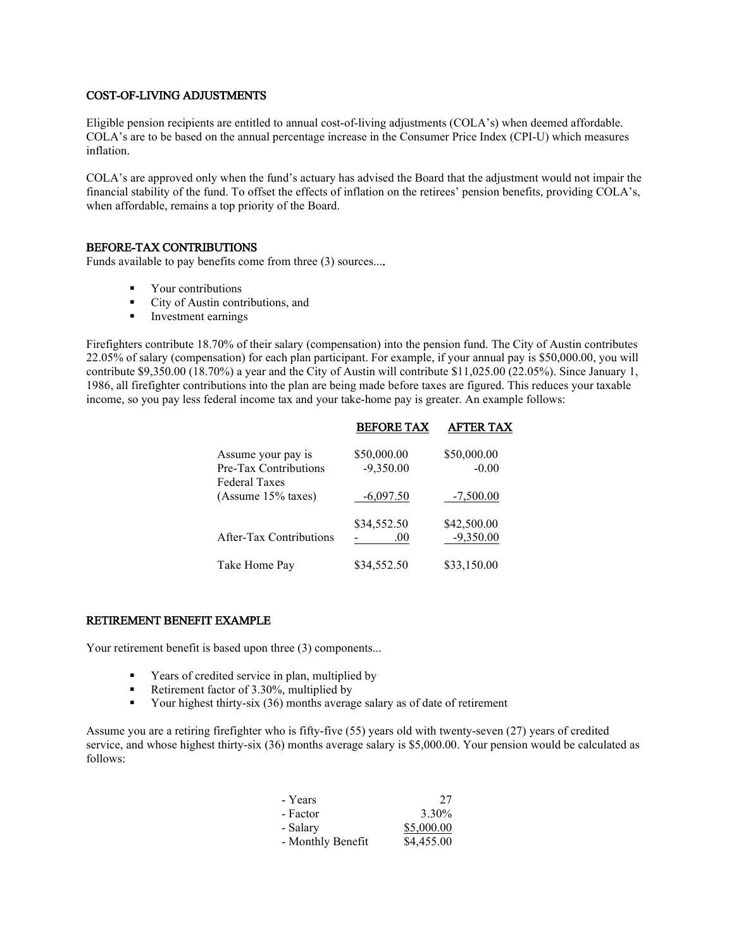## COST-OF-LIVING ADJUSTMENTS

Eligible pension recipients are entitled to annual cost-of-living adjustments (COLA's) when deemed affordable. COLA's are to be based on the annual percentage increase in the Consumer Price Index (CPI-U) which measures inflation.

COLA's are approved only when the fund's actuary has advised the Board that the adjustment would not impair the financial stability of the fund. To offset the effects of inflation on the retirees' pension benefits, providing COLA's, when affordable, remains a top priority of the Board.

# BEFORE-TAX CONTRIBUTIONS

Funds available to pay benefits come from three (3) sources....

- **•** Your contributions
- City of Austin contributions, and
- Investment earnings

Firefighters contribute 18.70% of their salary (compensation) into the pension fund. The City of Austin contributes 22.05% of salary (compensation) for each plan participant. For example, if your annual pay is \$50,000.00, you will contribute \$9,350.00 (18.70%) a year and the City of Austin will contribute \$11,025.00 (22.05%). Since January 1, 1986, all firefighter contributions into the plan are being made before taxes are figured. This reduces your taxable income, so you pay less federal income tax and your take-home pay is greater. An example follows:

|                                               | <b>BEFORE TAX</b> | <b>AFTER TAX</b> |
|-----------------------------------------------|-------------------|------------------|
| Assume your pay is                            | \$50,000.00       | \$50,000.00      |
| Pre-Tax Contributions<br><b>Federal Taxes</b> | $-9,350.00$       | $-0.00$          |
| (Assume 15% taxes)                            | $-6,097.50$       | $-7,500.00$      |
|                                               | \$34,552.50       | \$42,500.00      |
| <b>After-Tax Contributions</b>                | .00.              | $-9,350.00$      |
| Take Home Pay                                 | \$34,552.50       | \$33,150.00      |

## RETIREMENT BENEFIT EXAMPLE

Your retirement benefit is based upon three (3) components...

- Years of credited service in plan, multiplied by
- Retirement factor of 3.30%, multiplied by
- Your highest thirty-six (36) months average salary as of date of retirement

Assume you are a retiring firefighter who is fifty-five (55) years old with twenty-seven (27) years of credited service, and whose highest thirty-six (36) months average salary is \$5,000.00. Your pension would be calculated as follows:

| - Years           | 27         |
|-------------------|------------|
| - Factor          | 3.30%      |
| - Salary          | \$5,000.00 |
| - Monthly Benefit | \$4,455.00 |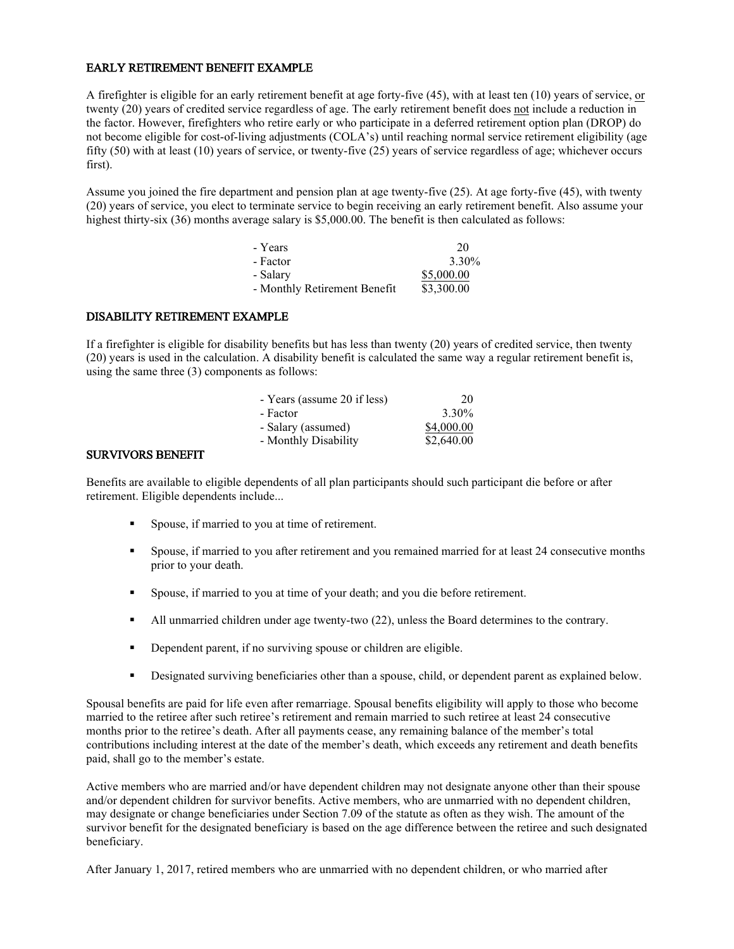#### EARLY RETIREMENT BENEFIT EXAMPLE

A firefighter is eligible for an early retirement benefit at age forty-five (45), with at least ten (10) years of service, or twenty (20) years of credited service regardless of age. The early retirement benefit does not include a reduction in the factor. However, firefighters who retire early or who participate in a deferred retirement option plan (DROP) do not become eligible for cost-of-living adjustments (COLA's) until reaching normal service retirement eligibility (age fifty (50) with at least (10) years of service, or twenty-five (25) years of service regardless of age; whichever occurs first).

Assume you joined the fire department and pension plan at age twenty-five (25). At age forty-five (45), with twenty (20) years of service, you elect to terminate service to begin receiving an early retirement benefit. Also assume your highest thirty-six (36) months average salary is \$5,000.00. The benefit is then calculated as follows:

| - Years                      | 20         |
|------------------------------|------------|
| - Factor                     | 3.30%      |
| - Salary                     | \$5,000.00 |
| - Monthly Retirement Benefit | \$3,300.00 |

## DISABILITY RETIREMENT EXAMPLE

If a firefighter is eligible for disability benefits but has less than twenty (20) years of credited service, then twenty (20) years is used in the calculation. A disability benefit is calculated the same way a regular retirement benefit is, using the same three (3) components as follows:

| - Years (assume 20 if less) | 20         |
|-----------------------------|------------|
| - Factor                    | 3.30%      |
| - Salary (assumed)          | \$4,000.00 |
| - Monthly Disability        | \$2,640.00 |

#### SURVIVORS BENEFIT

Benefits are available to eligible dependents of all plan participants should such participant die before or after retirement. Eligible dependents include...

- Spouse, if married to you at time of retirement.
- Spouse, if married to you after retirement and you remained married for at least 24 consecutive months prior to your death.
- Spouse, if married to you at time of your death; and you die before retirement.
- All unmarried children under age twenty-two (22), unless the Board determines to the contrary.
- Dependent parent, if no surviving spouse or children are eligible.
- Designated surviving beneficiaries other than a spouse, child, or dependent parent as explained below.

Spousal benefits are paid for life even after remarriage. Spousal benefits eligibility will apply to those who become married to the retiree after such retiree's retirement and remain married to such retiree at least 24 consecutive months prior to the retiree's death. After all payments cease, any remaining balance of the member's total contributions including interest at the date of the member's death, which exceeds any retirement and death benefits paid, shall go to the member's estate.

Active members who are married and/or have dependent children may not designate anyone other than their spouse and/or dependent children for survivor benefits. Active members, who are unmarried with no dependent children, may designate or change beneficiaries under Section 7.09 of the statute as often as they wish. The amount of the survivor benefit for the designated beneficiary is based on the age difference between the retiree and such designated beneficiary.

After January 1, 2017, retired members who are unmarried with no dependent children, or who married after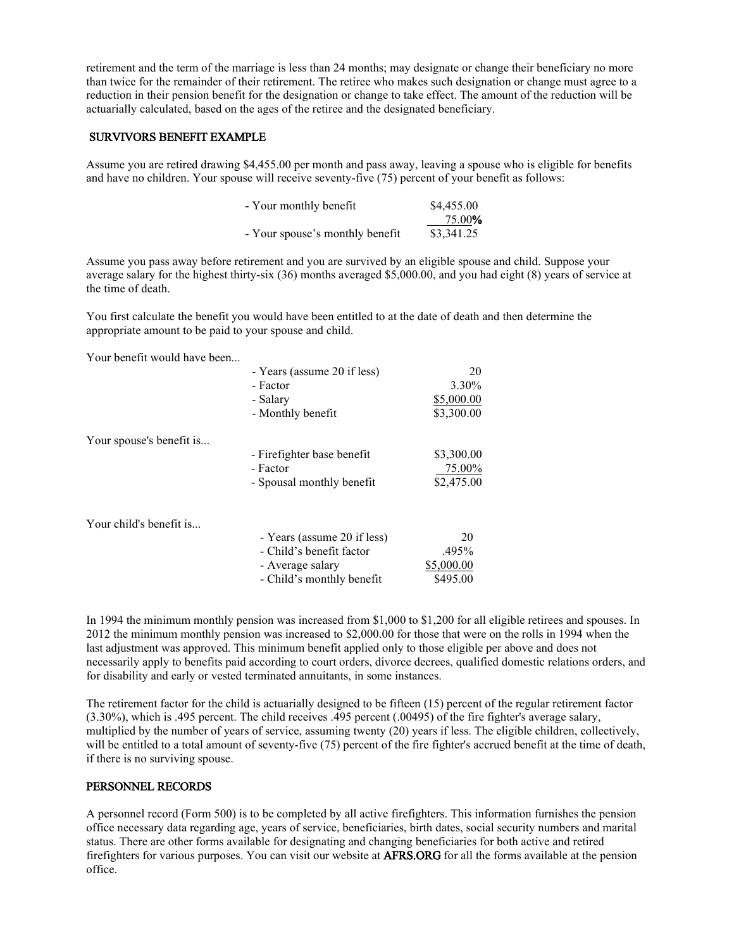retirement and the term of the marriage is less than 24 months; may designate or change their beneficiary no more than twice for the remainder of their retirement. The retiree who makes such designation or change must agree to a reduction in their pension benefit for the designation or change to take effect. The amount of the reduction will be actuarially calculated, based on the ages of the retiree and the designated beneficiary.

#### SURVIVORS BENEFIT EXAMPLE

Assume you are retired drawing \$4,455.00 per month and pass away, leaving a spouse who is eligible for benefits and have no children. Your spouse will receive seventy-five (75) percent of your benefit as follows:

| - Your monthly benefit          | \$4,455.00 |
|---------------------------------|------------|
|                                 | 75.00%     |
| - Your spouse's monthly benefit | \$3,341.25 |

Assume you pass away before retirement and you are survived by an eligible spouse and child. Suppose your average salary for the highest thirty-six (36) months averaged \$5,000.00, and you had eight (8) years of service at the time of death.

You first calculate the benefit you would have been entitled to at the date of death and then determine the appropriate amount to be paid to your spouse and child.

Your benefit would have been...

|                          | - Years (assume 20 if less) | 20         |
|--------------------------|-----------------------------|------------|
|                          | - Factor                    | 3.30%      |
|                          | - Salary                    | \$5,000.00 |
|                          | - Monthly benefit           | \$3,300.00 |
| Your spouse's benefit is |                             |            |
|                          | - Firefighter base benefit  | \$3,300.00 |
|                          | - Factor                    | 75.00%     |
|                          | - Spousal monthly benefit   | \$2,475.00 |
| Your child's benefit is  |                             |            |
|                          | - Years (assume 20 if less) | 20         |
|                          | - Child's benefit factor    | .495%      |
|                          | - Average salary            | \$5,000.00 |

In 1994 the minimum monthly pension was increased from \$1,000 to \$1,200 for all eligible retirees and spouses. In 2012 the minimum monthly pension was increased to \$2,000.00 for those that were on the rolls in 1994 when the last adjustment was approved. This minimum benefit applied only to those eligible per above and does not necessarily apply to benefits paid according to court orders, divorce decrees, qualified domestic relations orders, and for disability and early or vested terminated annuitants, in some instances.

- Child's monthly benefit \$495.00

The retirement factor for the child is actuarially designed to be fifteen (15) percent of the regular retirement factor (3.30%), which is .495 percent. The child receives .495 percent (.00495) of the fire fighter's average salary, multiplied by the number of years of service, assuming twenty (20) years if less. The eligible children, collectively, will be entitled to a total amount of seventy-five (75) percent of the fire fighter's accrued benefit at the time of death, if there is no surviving spouse.

#### PERSONNEL RECORDS

A personnel record (Form 500) is to be completed by all active firefighters. This information furnishes the pension office necessary data regarding age, years of service, beneficiaries, birth dates, social security numbers and marital status. There are other forms available for designating and changing beneficiaries for both active and retired firefighters for various purposes. You can visit our website at AFRS.ORG for all the forms available at the pension office.